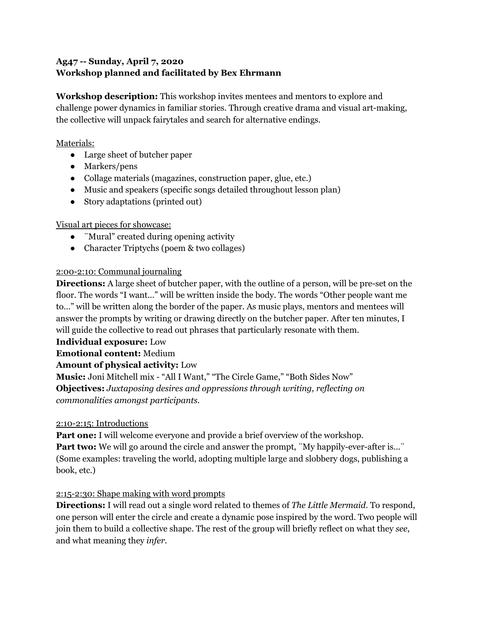## **Ag47 -- Sunday, April 7, 2020 Workshop planned and facilitated by Bex Ehrmann**

**Workshop description:** This workshop invites mentees and mentors to explore and challenge power dynamics in familiar stories. Through creative drama and visual art-making, the collective will unpack fairytales and search for alternative endings.

### Materials:

- Large sheet of butcher paper
- Markers/pens
- Collage materials (magazines, construction paper, glue, etc.)
- Music and speakers (specific songs detailed throughout lesson plan)
- Story adaptations (printed out)

## Visual art pieces for showcase:

- ¨Mural" created during opening activity
- Character Triptychs (poem & two collages)

### 2:00-2:10: Communal journaling

**Directions:** A large sheet of butcher paper, with the outline of a person, will be pre-set on the floor. The words "I want..." will be written inside the body. The words "Other people want me to…" will be written along the border of the paper. As music plays, mentors and mentees will answer the prompts by writing or drawing directly on the butcher paper. After ten minutes, I will guide the collective to read out phrases that particularly resonate with them.

#### **Individual exposure:** Low

**Emotional content:** Medium

## **Amount of physical activity:** Low

**Music:** Joni Mitchell mix - "All I Want," "The Circle Game," "Both Sides Now" **Objectives:** *Juxtaposing desires and oppressions through writing, reflecting on commonalities amongst participants.*

## 2:10-2:15: Introductions

**Part one:** I will welcome everyone and provide a brief overview of the workshop. **Part two:** We will go around the circle and answer the prompt, "My happily-ever-after is..." (Some examples: traveling the world, adopting multiple large and slobbery dogs, publishing a book, etc.)

## 2:15-2:30: Shape making with word prompts

**Directions:** I will read out a single word related to themes of *The Little Mermaid*. To respond, one person will enter the circle and create a dynamic pose inspired by the word. Two people will join them to build a collective shape. The rest of the group will briefly reflect on what they *see*, and what meaning they *infer.*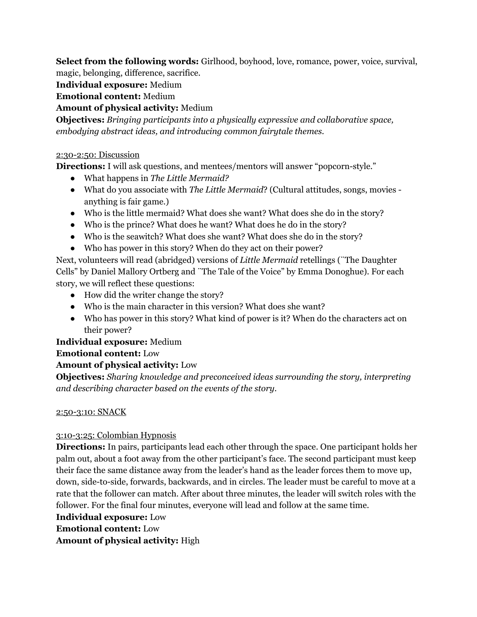**Select from the following words:** Girlhood, boyhood, love, romance, power, voice, survival, magic, belonging, difference, sacrifice.

**Individual exposure:** Medium

**Emotional content:** Medium

**Amount of physical activity:** Medium

**Objectives:** *Bringing participants into a physically expressive and collaborative space, embodying abstract ideas, and introducing common fairytale themes.*

### 2:30-2:50: Discussion

**Directions:** I will ask questions, and mentees/mentors will answer "popcorn-style."

- What happens in *The Little Mermaid?*
- What do you associate with *The Little Mermaid*? (Cultural attitudes, songs, movies anything is fair game.)
- Who is the little mermaid? What does she want? What does she do in the story?
- Who is the prince? What does he want? What does he do in the story?
- Who is the seawitch? What does she want? What does she do in the story?
- Who has power in this story? When do they act on their power?

Next, volunteers will read (abridged) versions of *Little Mermaid* retellings (¨The Daughter Cells" by Daniel Mallory Ortberg and ¨The Tale of the Voice" by Emma Donoghue). For each story, we will reflect these questions:

- How did the writer change the story?
- Who is the main character in this version? What does she want?
- Who has power in this story? What kind of power is it? When do the characters act on their power?

## **Individual exposure:** Medium

## **Emotional content:** Low

## **Amount of physical activity:** Low

**Objectives:** *Sharing knowledge and preconceived ideas surrounding the story, interpreting and describing character based on the events of the story.*

#### 2:50-3:10: SNACK

## 3:10-3:25: Colombian Hypnosis

**Directions:** In pairs, participants lead each other through the space. One participant holds her palm out, about a foot away from the other participant's face. The second participant must keep their face the same distance away from the leader's hand as the leader forces them to move up, down, side-to-side, forwards, backwards, and in circles. The leader must be careful to move at a rate that the follower can match. After about three minutes, the leader will switch roles with the follower. For the final four minutes, everyone will lead and follow at the same time.

#### **Individual exposure:** Low

# **Emotional content:** Low

**Amount of physical activity:** High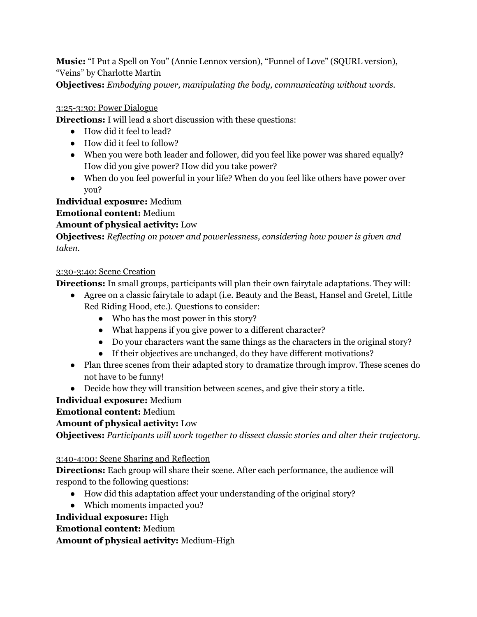**Music:** "I Put a Spell on You" (Annie Lennox version), "Funnel of Love" (SQURL version), "Veins" by Charlotte Martin

**Objectives:** *Embodying power, manipulating the body, communicating without words.*

### 3:25-3:30: Power Dialogue

**Directions:** I will lead a short discussion with these questions:

- How did it feel to lead?
- How did it feel to follow?
- When you were both leader and follower, did you feel like power was shared equally? How did you give power? How did you take power?
- When do you feel powerful in your life? When do you feel like others have power over you?

**Individual exposure:** Medium

**Emotional content:** Medium

## **Amount of physical activity:** Low

**Objectives:** *Reflecting on power and powerlessness, considering how power is given and taken.*

## 3:30-3:40: Scene Creation

**Directions:** In small groups, participants will plan their own fairytale adaptations. They will:

- Agree on a classic fairytale to adapt (i.e. Beauty and the Beast, Hansel and Gretel, Little
	- Red Riding Hood, etc.). Questions to consider:
		- Who has the most power in this story?
		- What happens if you give power to a different character?
		- Do your characters want the same things as the characters in the original story?
		- If their objectives are unchanged, do they have different motivations?
- Plan three scenes from their adapted story to dramatize through improv. These scenes do not have to be funny!
- Decide how they will transition between scenes, and give their story a title.

# **Individual exposure:** Medium

## **Emotional content:** Medium

# **Amount of physical activity:** Low

**Objectives:** *Participants will work together to dissect classic stories and alter their trajectory.*

## 3:40-4:00: Scene Sharing and Reflection

**Directions:** Each group will share their scene. After each performance, the audience will respond to the following questions:

- How did this adaptation affect your understanding of the original story?
- Which moments impacted you?

## **Individual exposure:** High

**Emotional content:** Medium

**Amount of physical activity:** Medium-High